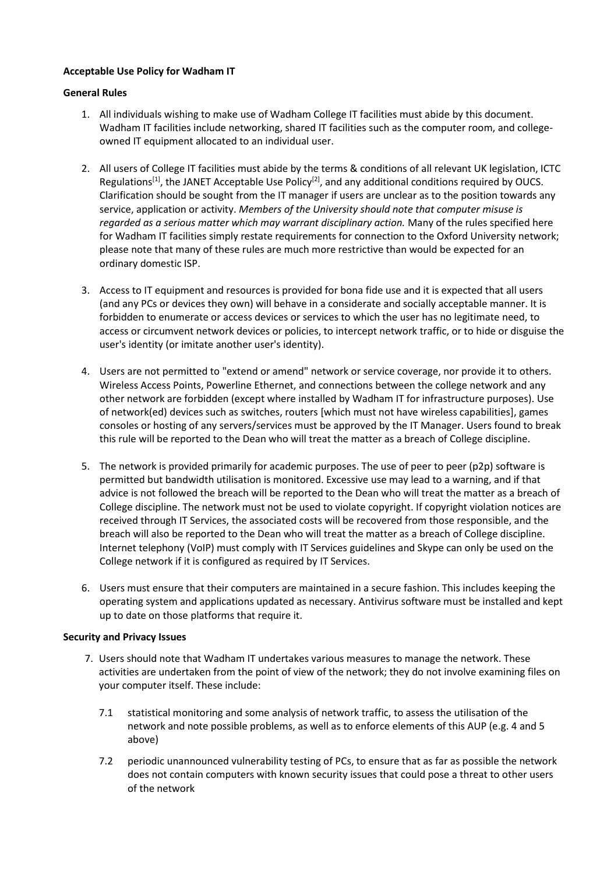# **Acceptable Use Policy for Wadham IT**

# **General Rules**

- 1. All individuals wishing to make use of Wadham College IT facilities must abide by this document. Wadham IT facilities include networking, shared IT facilities such as the computer room, and collegeowned IT equipment allocated to an individual user.
- 2. All users of College IT facilities must abide by the terms & conditions of all relevant UK legislation, ICTC Regulations<sup>[1]</sup>, the JANET Acceptable Use Policy<sup>[2]</sup>, and any additional conditions required by OUCS. Clarification should be sought from the IT manager if users are unclear as to the position towards any service, application or activity. *Members of the University should note that computer misuse is*  regarded as a serious matter which may warrant disciplinary action. Many of the rules specified here for Wadham IT facilities simply restate requirements for connection to the Oxford University network; please note that many of these rules are much more restrictive than would be expected for an ordinary domestic ISP.
- 3. Access to IT equipment and resources is provided for bona fide use and it is expected that all users (and any PCs or devices they own) will behave in a considerate and socially acceptable manner. It is forbidden to enumerate or access devices or services to which the user has no legitimate need, to access or circumvent network devices or policies, to intercept network traffic, or to hide or disguise the user's identity (or imitate another user's identity).
- 4. Users are not permitted to "extend or amend" network or service coverage, nor provide it to others. Wireless Access Points, Powerline Ethernet, and connections between the college network and any other network are forbidden (except where installed by Wadham IT for infrastructure purposes). Use of network(ed) devices such as switches, routers [which must not have wireless capabilities], games consoles or hosting of any servers/services must be approved by the IT Manager. Users found to break this rule will be reported to the Dean who will treat the matter as a breach of College discipline.
- 5. The network is provided primarily for academic purposes. The use of peer to peer (p2p) software is permitted but bandwidth utilisation is monitored. Excessive use may lead to a warning, and if that advice is not followed the breach will be reported to the Dean who will treat the matter as a breach of College discipline. The network must not be used to violate copyright. If copyright violation notices are received through IT Services, the associated costs will be recovered from those responsible, and the breach will also be reported to the Dean who will treat the matter as a breach of College discipline. Internet telephony (VoIP) must comply with IT Services guidelines and Skype can only be used on the College network if it is configured as required by IT Services.
- 6. Users must ensure that their computers are maintained in a secure fashion. This includes keeping the operating system and applications updated as necessary. Antivirus software must be installed and kept up to date on those platforms that require it.

### **Security and Privacy Issues**

- 7. Users should note that Wadham IT undertakes various measures to manage the network. These activities are undertaken from the point of view of the network; they do not involve examining files on your computer itself. These include:
	- 7.1 statistical monitoring and some analysis of network traffic, to assess the utilisation of the network and note possible problems, as well as to enforce elements of this AUP (e.g. 4 and 5 above)
	- 7.2 periodic unannounced vulnerability testing of PCs, to ensure that as far as possible the network does not contain computers with known security issues that could pose a threat to other users of the network